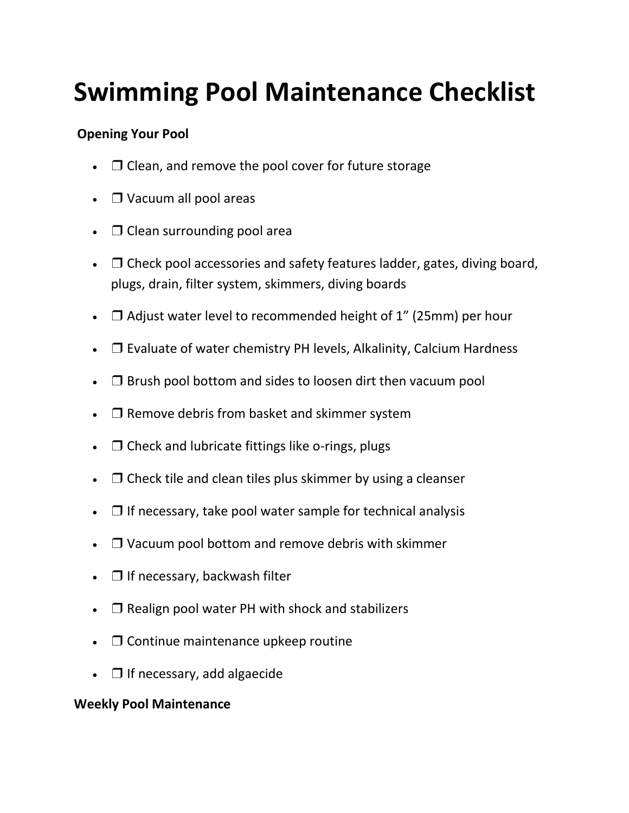# **Swimming Pool Maintenance Checklist**

## **Opening Your Pool**

- $\Box$  Clean, and remove the pool cover for future storage
- ❒ Vacuum all pool areas
- $\Box$  Clean surrounding pool area
- $\Box$  Check pool accessories and safety features ladder, gates, diving board, plugs, drain, filter system, skimmers, diving boards
- $\Box$  Adjust water level to recommended height of 1" (25mm) per hour
- □ Evaluate of water chemistry PH levels, Alkalinity, Calcium Hardness
- $\bullet$   $\Box$  Brush pool bottom and sides to loosen dirt then vacuum pool
- □ Remove debris from basket and skimmer system
- $\Box$  Check and lubricate fittings like o-rings, plugs
- $\Box$  Check tile and clean tiles plus skimmer by using a cleanser
- $\Box$  If necessary, take pool water sample for technical analysis
- ❒ Vacuum pool bottom and remove debris with skimmer
- □ If necessary, backwash filter
- $\Box$  Realign pool water PH with shock and stabilizers
- □ Continue maintenance upkeep routine
- $\Box$  If necessary, add algaecide

### **Weekly Pool Maintenance**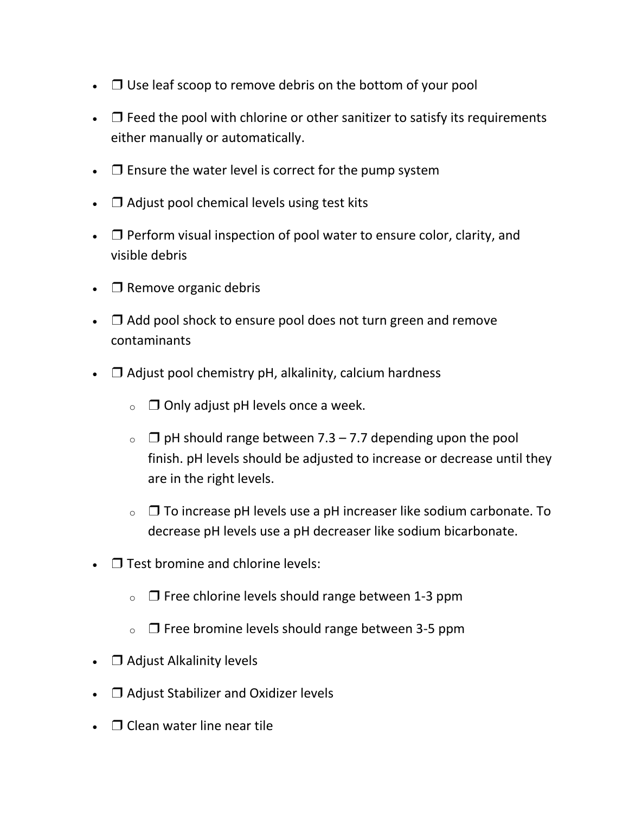- $\Box$  Use leaf scoop to remove debris on the bottom of your pool
- $\Box$  Feed the pool with chlorine or other sanitizer to satisfy its requirements either manually or automatically.
- $\Box$  Ensure the water level is correct for the pump system
- $\Box$  Adjust pool chemical levels using test kits
- $\Box$  Perform visual inspection of pool water to ensure color, clarity, and visible debris
- $\Box$  Remove organic debris
- $\Box$  Add pool shock to ensure pool does not turn green and remove contaminants
- $\Box$  Adjust pool chemistry pH, alkalinity, calcium hardness
	- $\circ$   $\Box$  Only adjust pH levels once a week.
	- $\circ$   $\Box$  pH should range between 7.3 7.7 depending upon the pool finish. pH levels should be adjusted to increase or decrease until they are in the right levels.
	- $\circ$   $\Box$  To increase pH levels use a pH increaser like sodium carbonate. To decrease pH levels use a pH decreaser like sodium bicarbonate.
- $\bullet$   $\Box$  Test bromine and chlorine levels:
	- $\circ$   $\Box$  Free chlorine levels should range between 1-3 ppm
	- $\circ$   $\Box$  Free bromine levels should range between 3-5 ppm
- □ Adjust Alkalinity levels
- □ Adjust Stabilizer and Oxidizer levels
- $\Box$  Clean water line near tile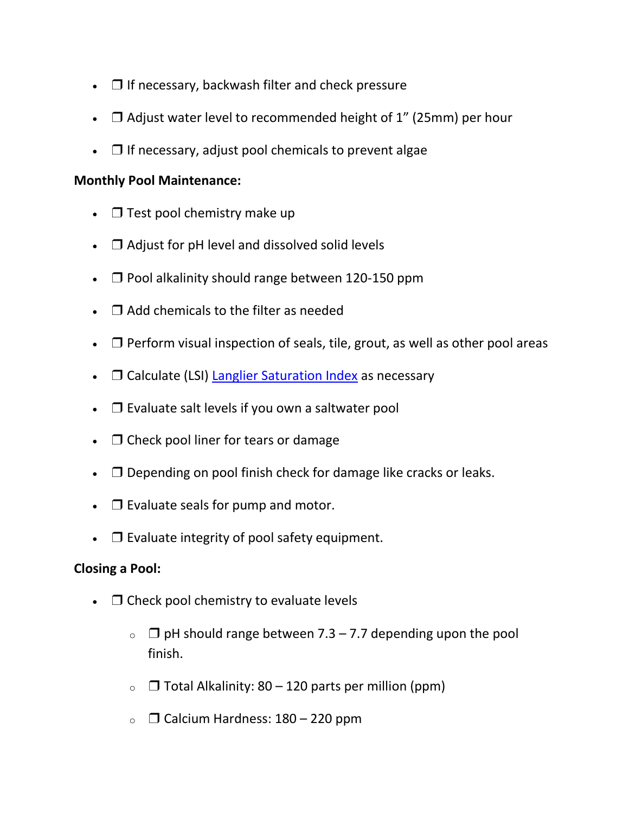- $\Box$  If necessary, backwash filter and check pressure
- $\Box$  Adjust water level to recommended height of 1" (25mm) per hour
- $\Box$  If necessary, adjust pool chemicals to prevent algae

### **Monthly Pool Maintenance:**

- $\Box$  Test pool chemistry make up
- □ Adjust for pH level and dissolved solid levels
- $\Box$  Pool alkalinity should range between 120-150 ppm
- ❒ Add chemicals to the filter as needed
- $\Box$  Perform visual inspection of seals, tile, grout, as well as other pool areas
- $\Box$  Calculate (LSI) [Langlier Saturation Index](https://blog.orendatech.com/langelier-saturation-index) as necessary
- □ Evaluate salt levels if you own a saltwater pool
- $\bullet$   $\Box$  Check pool liner for tears or damage
- $\Box$  Depending on pool finish check for damage like cracks or leaks.
- $\Box$  Evaluate seals for pump and motor.
- $\bullet$   $\Box$  Evaluate integrity of pool safety equipment.

### **Closing a Pool:**

- $\bullet$   $\Box$  Check pool chemistry to evaluate levels
	- $\circ$   $\Box$  pH should range between 7.3 7.7 depending upon the pool finish.
	- $\circ$   $\Box$  Total Alkalinity: 80 120 parts per million (ppm)
	- $\circ$   $\Box$  Calcium Hardness: 180 220 ppm